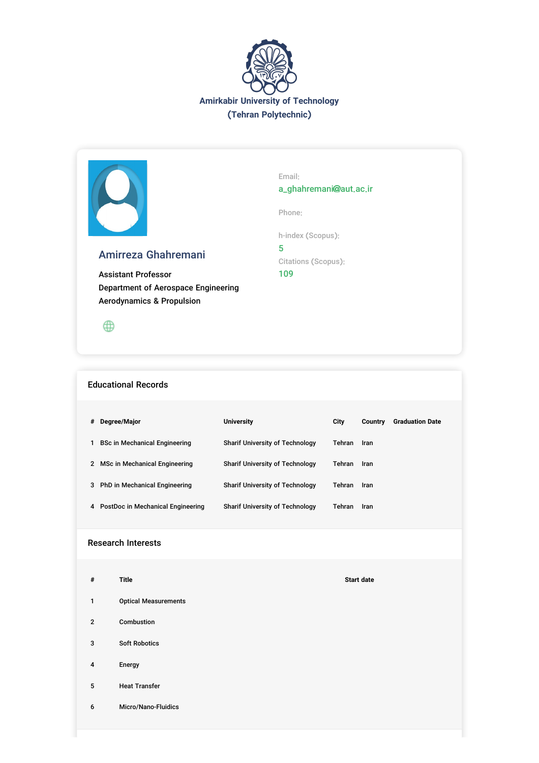



# Amirreza Ghahremani

Assistant Professor Department of Aerospace Engineering Aerodynamics & Propulsion

 $\oplus$ 

## Educational Records

| # | Degree/Major                         | <b>University</b>                      | City   | Country | <b>Graduation Date</b> |
|---|--------------------------------------|----------------------------------------|--------|---------|------------------------|
|   | <b>BSc in Mechanical Engineering</b> | <b>Sharif University of Technology</b> | Tehran | Iran    |                        |
| 2 | MSc in Mechanical Engineering        | <b>Sharif University of Technology</b> | Tehran | Iran    |                        |
|   | 3 PhD in Mechanical Engineering      | <b>Sharif University of Technology</b> | Tehran | Iran    |                        |
|   | 4 PostDoc in Mechanical Engineering  | <b>Sharif University of Technology</b> | Tehran | Iran    |                        |

# Research Interests

| $\#$           | <b>Title</b>                | <b>Start date</b> |
|----------------|-----------------------------|-------------------|
| $\mathbf{1}$   | <b>Optical Measurements</b> |                   |
| $\overline{2}$ | Combustion                  |                   |
| 3              | <b>Soft Robotics</b>        |                   |
| $\overline{4}$ | Energy                      |                   |
| 5              | <b>Heat Transfer</b>        |                   |
| 6              | Micro/Nano-Fluidics         |                   |
|                |                             |                   |

Email:

a\_ghahremani@aut.ac.ir

Phone:

h-index (Scopus):

5 Citations (Scopus): 109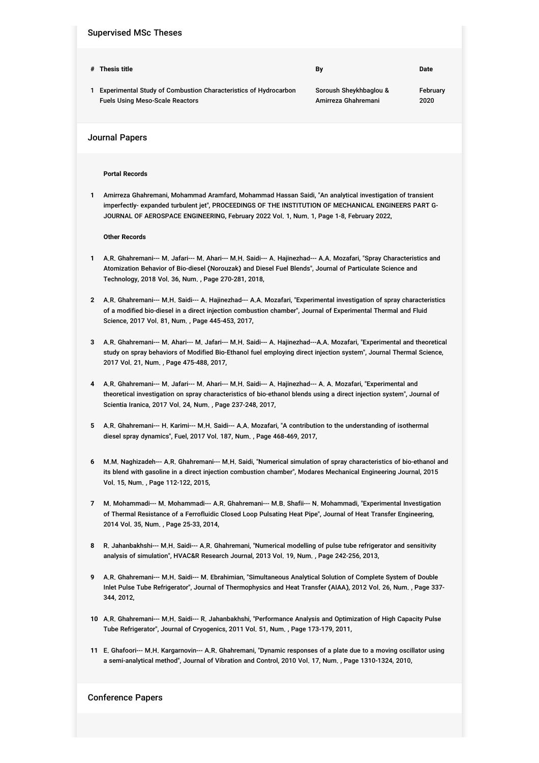### Supervised MSc Theses

Fuels Using Meso-Scale Reactors

| # Thesis title                                                    | Bv                     | Date     |
|-------------------------------------------------------------------|------------------------|----------|
| 1 Experimental Study of Combustion Characteristics of Hydrocarbon | Soroush Shevkhbaglou & | Februarv |

Amirreza Ghahremani

2020

Journal Papers

### **Portal Records**

**1** Amirreza Ghahremani, Mohammad Aramfard, Mohammad Hassan Saidi, "An analytical investigation of transient imperfectly- expanded turbulent jet", PROCEEDINGS OF THE INSTITUTION OF MECHANICAL ENGINEERS PART G-JOURNAL OF AEROSPACE ENGINEERING, February 2022 Vol. 1, Num. 1, Page 1-8, February 2022,

#### **Other Records**

- **1** A.R. Ghahremani--- M. Jafari--- M. Ahari--- M.H. Saidi--- A. Hajinezhad--- A.A. Mozafari, "Spray Characteristics and Atomization Behavior of Bio-diesel (Norouzak) and Diesel Fuel Blends", Journal of Particulate Science and Technology, 2018 Vol. 36, Num. , Page 270-281, 2018,
- **2** A.R. Ghahremani--- M.H. Saidi--- A. Hajinezhad--- A.A. Mozafari, "Experimental investigation of spray characteristics of a modified bio-diesel in a direct injection combustion chamber", Journal of Experimental Thermal and Fluid Science, 2017 Vol. 81, Num. , Page 445-453, 2017,
- **3** A.R. Ghahremani--- M. Ahari--- M. Jafari--- M.H. Saidi--- A. Hajinezhad---A.A. Mozafari, "Experimental and theoretical study on spray behaviors of Modified Bio-Ethanol fuel employing direct injection system", Journal Thermal Science, 2017 Vol. 21, Num. , Page 475-488, 2017,
- **4** A.R. Ghahremani--- M. Jafari--- M. Ahari--- M.H. Saidi--- A. Hajinezhad--- A. A. Mozafari, "Experimental and theoretical investigation on spray characteristics of bio-ethanol blends using a direct injection system", Journal of Scientia Iranica, 2017 Vol. 24, Num. , Page 237-248, 2017,
- **5** A.R. Ghahremani--- H. Karimi--- M.H. Saidi--- A.A. Mozafari, "A contribution to the understanding of isothermal diesel spray dynamics", Fuel, 2017 Vol. 187, Num. , Page 468-469, 2017,
- **6** M.M. Naghizadeh--- A.R. Ghahremani--- M.H. Saidi, "Numerical simulation of spray characteristics of bio-ethanol and its blend with gasoline in a direct injection combustion chamber", Modares Mechanical Engineering Journal, 2015 Vol. 15, Num. , Page 112-122, 2015,
- **7** M. Mohammadi--- M. Mohammadi--- A.R. Ghahremani--- M.B. Shafii--- N. Mohammadi, "Experimental Investigation of Thermal Resistance of a Ferrofluidic Closed Loop Pulsating Heat Pipe", Journal of Heat Transfer Engineering, 2014 Vol. 35, Num. , Page 25-33, 2014,
- **8** R. Jahanbakhshi--- M.H. Saidi--- A.R. Ghahremani, "Numerical modelling of pulse tube refrigerator and sensitivity analysis of simulation", HVAC&R Research Journal, 2013 Vol. 19, Num. , Page 242-256, 2013,
- **9** A.R. Ghahremani--- M.H. Saidi--- M. Ebrahimian, "Simultaneous Analytical Solution of Complete System of Double Inlet Pulse Tube Refrigerator", Journal of Thermophysics and Heat Transfer (AIAA), 2012 Vol. 26, Num. , Page 337- 344, 2012,
- **10** A.R. Ghahremani--- M.H. Saidi--- R. Jahanbakhshi, "Performance Analysis and Optimization of High Capacity Pulse Tube Refrigerator", Journal of Cryogenics, 2011 Vol. 51, Num. , Page 173-179, 2011,
- **11** E. Ghafoori--- M.H. Kargarnovin--- A.R. Ghahremani, "Dynamic responses of a plate due to a moving oscillator using a semi-analytical method", Journal of Vibration and Control, 2010 Vol. 17, Num. , Page 1310-1324, 2010,

## Conference Papers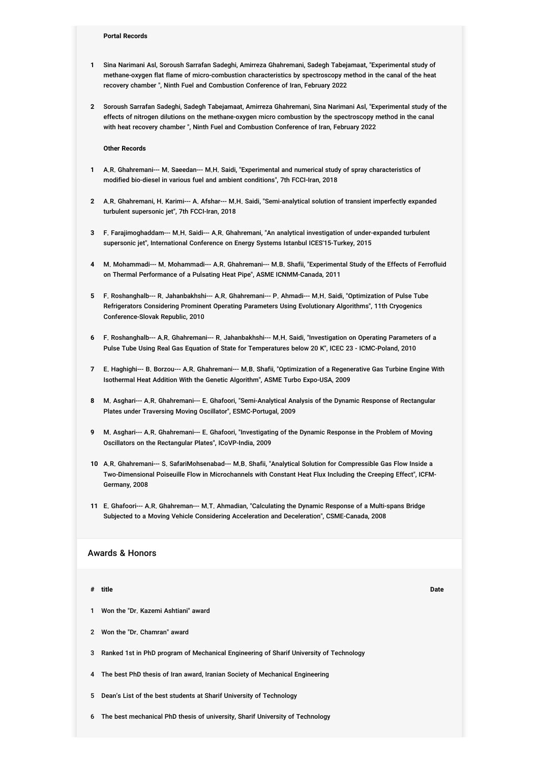- **1** Sina Narimani Asl, Soroush Sarrafan Sadeghi, Amirreza Ghahremani, Sadegh Tabejamaat, "Experimental study of methane-oxygen flat flame of micro-combustion characteristics by spectroscopy method in the canal of the heat recovery chamber ", Ninth Fuel and Combustion Conference of Iran, February 2022
- **2** Soroush Sarrafan Sadeghi, Sadegh Tabejamaat, Amirreza Ghahremani, Sina Narimani Asl, "Experimental study of the effects of nitrogen dilutions on the methane-oxygen micro combustion by the spectroscopy method in the canal with heat recovery chamber ", Ninth Fuel and Combustion Conference of Iran, February 2022

**Other Records**

- **1** A.R. Ghahremani--- M. Saeedan--- M.H. Saidi, "Experimental and numerical study of spray characteristics of modified bio-diesel in various fuel and ambient conditions", 7th FCCI-Iran, 2018
- **2** A.R. Ghahremani, H. Karimi--- A. Afshar--- M.H. Saidi, "Semi-analytical solution of transient imperfectly expanded turbulent supersonic jet", 7th FCCI-Iran, 2018
- **3** F. Farajimoghaddam--- M.H. Saidi--- A.R. Ghahremani, "An analytical investigation of under-expanded turbulent supersonic jet", International Conference on Energy Systems Istanbul ICES'15-Turkey, 2015
- **4** M. Mohammadi--- M. Mohammadi--- A.R. Ghahremani--- M.B. Shafii, "Experimental Study of the Effects of Ferrofluid on Thermal Performance of a Pulsating Heat Pipe", ASME ICNMM-Canada, 2011
- **5** F. Roshanghalb--- R. Jahanbakhshi--- A.R. Ghahremani--- P. Ahmadi--- M.H. Saidi, "Optimization of Pulse Tube Refrigerators Considering Prominent Operating Parameters Using Evolutionary Algorithms", 11th Cryogenics Conference-Slovak Republic, 2010
- **6** F. Roshanghalb--- A.R. Ghahremani--- R. Jahanbakhshi--- M.H. Saidi, "Investigation on Operating Parameters of a Pulse Tube Using Real Gas Equation of State for Temperatures below 20 K", ICEC 23 - ICMC-Poland, 2010
- **7** E. Haghighi--- B. Borzou--- A.R. Ghahremani--- M.B. Shafii, "Optimization of a Regenerative Gas Turbine Engine With Isothermal Heat Addition With the Genetic Algorithm", ASME Turbo Expo-USA, 2009
- **8** M. Asghari--- A.R. Ghahremani--- E. Ghafoori, "Semi-Analytical Analysis of the Dynamic Response of Rectangular Plates under Traversing Moving Oscillator", ESMC-Portugal, 2009
- **9** M. Asghari--- A.R. Ghahremani--- E. Ghafoori, "Investigating of the Dynamic Response in the Problem of Moving Oscillators on the Rectangular Plates", ICoVP-India, 2009
- **10** A.R. Ghahremani--- S. SafariMohsenabad--- M.B. Shafii, "Analytical Solution for Compressible Gas Flow Inside a Two-Dimensional Poiseuille Flow in Microchannels with Constant Heat Flux Including the Creeping Effect", ICFM-Germany, 2008
- **11** E. Ghafoori--- A.R. Ghahreman--- M.T. Ahmadian, "Calculating the Dynamic Response of a Multi-spans Bridge Subjected to a Moving Vehicle Considering Acceleration and Deceleration", CSME-Canada, 2008

## Awards & Honors

#### **# title Date**

- 1 Won the "Dr. Kazemi Ashtiani" award
- 2 Won the "Dr. Chamran" award
- 3 Ranked 1st in PhD program of Mechanical Engineering of Sharif University of Technology
- 4 The best PhD thesis of Iran award, Iranian Society of Mechanical Engineering
- 5 Dean's List of the best students at Sharif University of Technology
- 6 The best mechanical PhD thesis of university, Sharif University of Technology